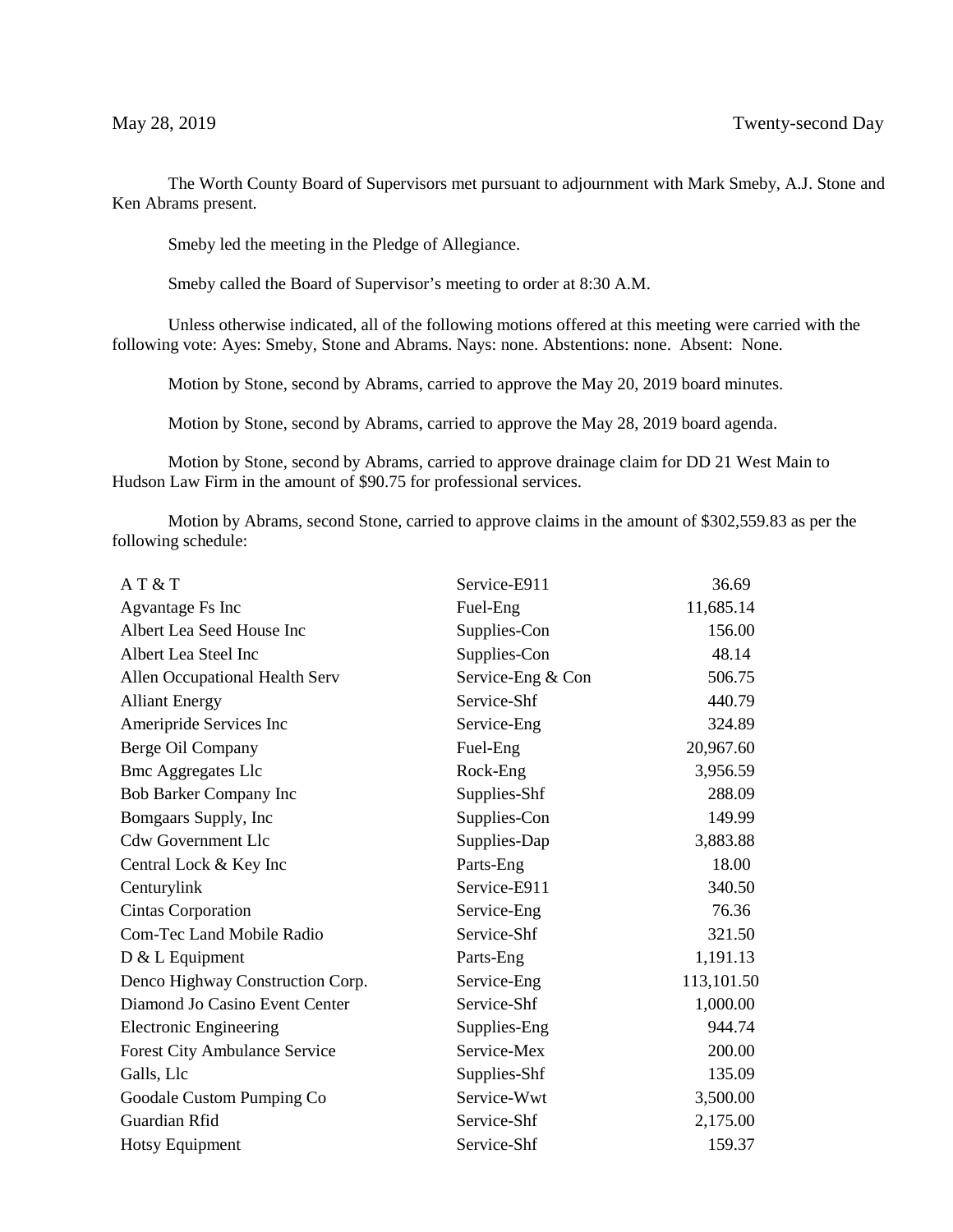The Worth County Board of Supervisors met pursuant to adjournment with Mark Smeby, A.J. Stone and Ken Abrams present.

Smeby led the meeting in the Pledge of Allegiance.

Smeby called the Board of Supervisor's meeting to order at 8:30 A.M.

Unless otherwise indicated, all of the following motions offered at this meeting were carried with the following vote: Ayes: Smeby, Stone and Abrams. Nays: none. Abstentions: none. Absent: None.

Motion by Stone, second by Abrams, carried to approve the May 20, 2019 board minutes.

Motion by Stone, second by Abrams, carried to approve the May 28, 2019 board agenda.

Motion by Stone, second by Abrams, carried to approve drainage claim for DD 21 West Main to Hudson Law Firm in the amount of \$90.75 for professional services.

Motion by Abrams, second Stone, carried to approve claims in the amount of \$302,559.83 as per the following schedule:

| Service-E911      | 36.69      |
|-------------------|------------|
| Fuel-Eng          | 11,685.14  |
| Supplies-Con      | 156.00     |
| Supplies-Con      | 48.14      |
| Service-Eng & Con | 506.75     |
| Service-Shf       | 440.79     |
| Service-Eng       | 324.89     |
| Fuel-Eng          | 20,967.60  |
| Rock-Eng          | 3,956.59   |
| Supplies-Shf      | 288.09     |
| Supplies-Con      | 149.99     |
| Supplies-Dap      | 3,883.88   |
| Parts-Eng         | 18.00      |
| Service-E911      | 340.50     |
| Service-Eng       | 76.36      |
| Service-Shf       | 321.50     |
| Parts-Eng         | 1,191.13   |
| Service-Eng       | 113,101.50 |
| Service-Shf       | 1,000.00   |
| Supplies-Eng      | 944.74     |
| Service-Mex       | 200.00     |
| Supplies-Shf      | 135.09     |
| Service-Wwt       | 3,500.00   |
| Service-Shf       | 2,175.00   |
| Service-Shf       | 159.37     |
|                   |            |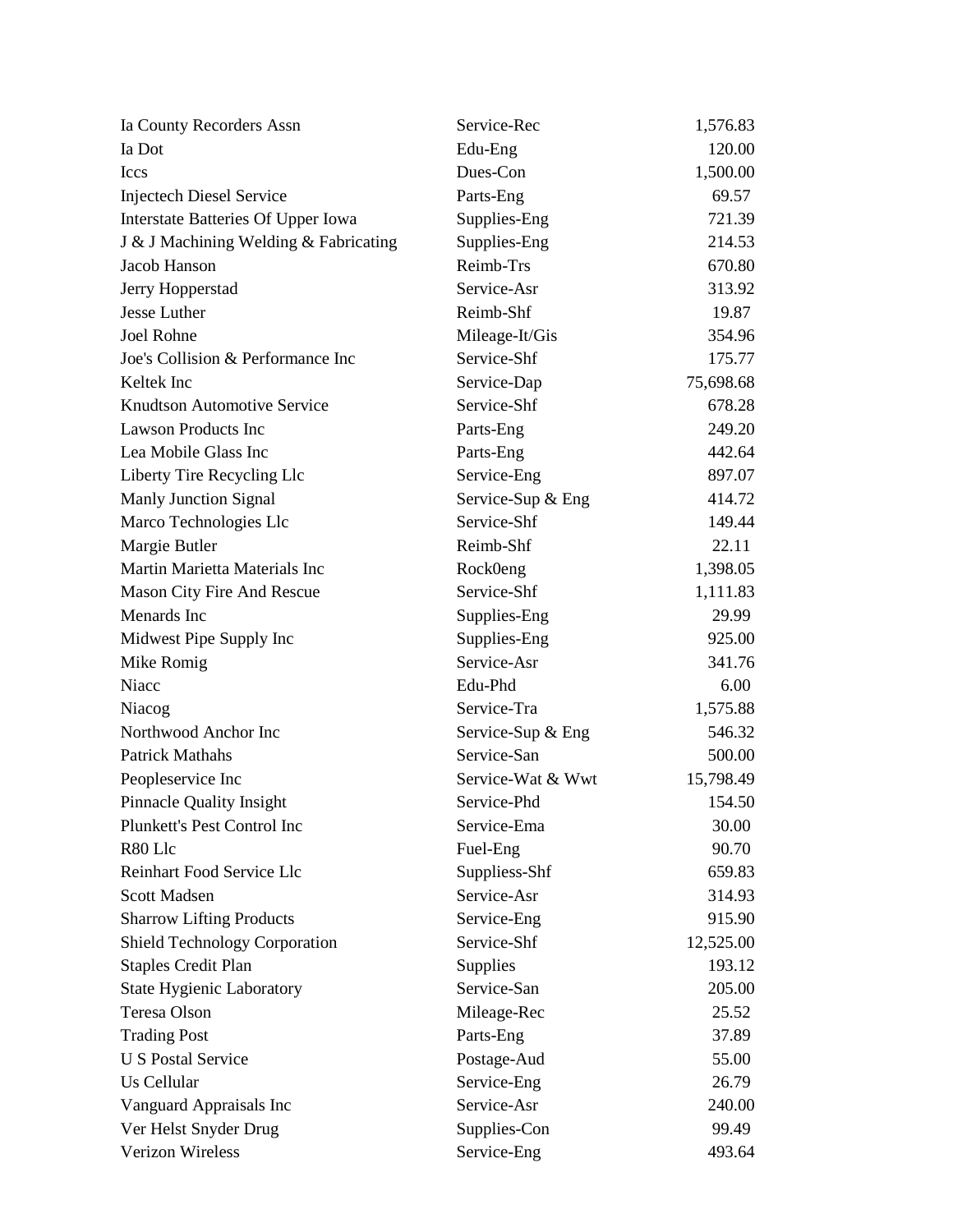| Ia County Recorders Assn              | Service-Rec       | 1,576.83  |
|---------------------------------------|-------------------|-----------|
| Ia Dot                                | Edu-Eng           | 120.00    |
| <b>Iccs</b>                           | Dues-Con          | 1,500.00  |
| <b>Injectech Diesel Service</b>       | Parts-Eng         | 69.57     |
| Interstate Batteries Of Upper Iowa    | Supplies-Eng      | 721.39    |
| J & J Machining Welding & Fabricating | Supplies-Eng      | 214.53    |
| Jacob Hanson                          | Reimb-Trs         | 670.80    |
| Jerry Hopperstad                      | Service-Asr       | 313.92    |
| Jesse Luther                          | Reimb-Shf         | 19.87     |
| <b>Joel Rohne</b>                     | Mileage-It/Gis    | 354.96    |
| Joe's Collision & Performance Inc     | Service-Shf       | 175.77    |
| Keltek Inc                            | Service-Dap       | 75,698.68 |
| <b>Knudtson Automotive Service</b>    | Service-Shf       | 678.28    |
| <b>Lawson Products Inc</b>            | Parts-Eng         | 249.20    |
| Lea Mobile Glass Inc                  | Parts-Eng         | 442.64    |
| Liberty Tire Recycling Llc            | Service-Eng       | 897.07    |
| <b>Manly Junction Signal</b>          | Service-Sup & Eng | 414.72    |
| Marco Technologies Llc                | Service-Shf       | 149.44    |
| Margie Butler                         | Reimb-Shf         | 22.11     |
| Martin Marietta Materials Inc         | Rock0eng          | 1,398.05  |
| <b>Mason City Fire And Rescue</b>     | Service-Shf       | 1,111.83  |
| Menards Inc                           | Supplies-Eng      | 29.99     |
| Midwest Pipe Supply Inc               | Supplies-Eng      | 925.00    |
| Mike Romig                            | Service-Asr       | 341.76    |
| Niacc                                 | Edu-Phd           | 6.00      |
| Niacog                                | Service-Tra       | 1,575.88  |
| Northwood Anchor Inc                  | Service-Sup & Eng | 546.32    |
| <b>Patrick Mathahs</b>                | Service-San       | 500.00    |
| Peopleservice Inc                     | Service-Wat & Wwt | 15,798.49 |
| <b>Pinnacle Quality Insight</b>       | Service-Phd       | 154.50    |
| Plunkett's Pest Control Inc           | Service-Ema       | 30.00     |
| R80 Llc                               | Fuel-Eng          | 90.70     |
| Reinhart Food Service Llc             | Suppliess-Shf     | 659.83    |
| Scott Madsen                          | Service-Asr       | 314.93    |
| <b>Sharrow Lifting Products</b>       | Service-Eng       | 915.90    |
| Shield Technology Corporation         | Service-Shf       | 12,525.00 |
| <b>Staples Credit Plan</b>            | Supplies          | 193.12    |
| <b>State Hygienic Laboratory</b>      | Service-San       | 205.00    |
| Teresa Olson                          | Mileage-Rec       | 25.52     |
| <b>Trading Post</b>                   | Parts-Eng         | 37.89     |
| <b>U S Postal Service</b>             | Postage-Aud       | 55.00     |
| Us Cellular                           | Service-Eng       | 26.79     |
| Vanguard Appraisals Inc               | Service-Asr       | 240.00    |
| Ver Helst Snyder Drug                 | Supplies-Con      | 99.49     |
| Verizon Wireless                      | Service-Eng       | 493.64    |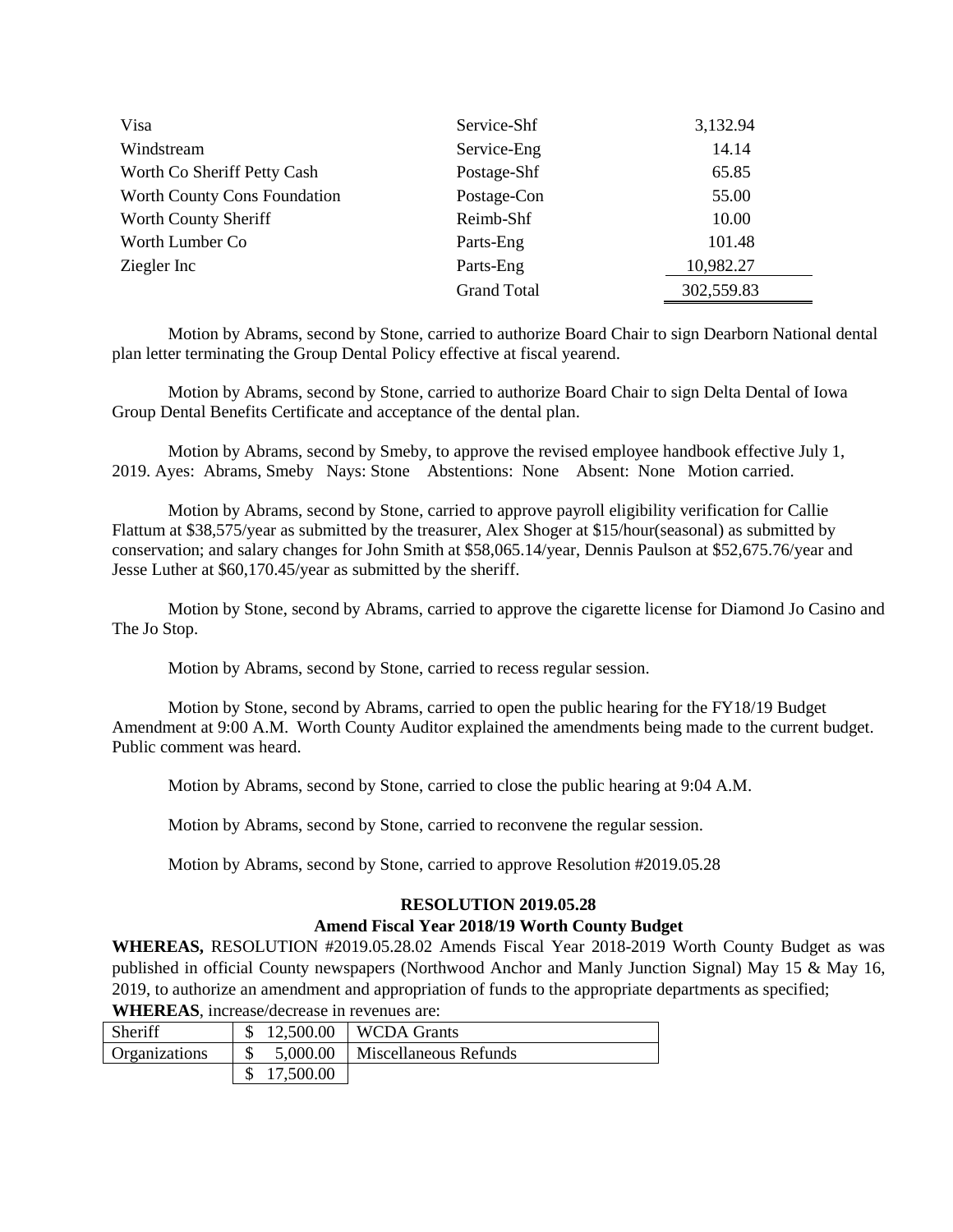| Visa                         | Service-Shf        | 3,132.94   |
|------------------------------|--------------------|------------|
| Windstream                   | Service-Eng        | 14.14      |
| Worth Co Sheriff Petty Cash  | Postage-Shf        | 65.85      |
| Worth County Cons Foundation | Postage-Con        | 55.00      |
| Worth County Sheriff         | Reimb-Shf          | 10.00      |
| Worth Lumber Co.             | Parts-Eng          | 101.48     |
| Ziegler Inc                  | Parts-Eng          | 10,982.27  |
|                              | <b>Grand Total</b> | 302,559.83 |

Motion by Abrams, second by Stone, carried to authorize Board Chair to sign Dearborn National dental plan letter terminating the Group Dental Policy effective at fiscal yearend.

Motion by Abrams, second by Stone, carried to authorize Board Chair to sign Delta Dental of Iowa Group Dental Benefits Certificate and acceptance of the dental plan.

Motion by Abrams, second by Smeby, to approve the revised employee handbook effective July 1, 2019. Ayes: Abrams, Smeby Nays: Stone Abstentions: None Absent: None Motion carried.

Motion by Abrams, second by Stone, carried to approve payroll eligibility verification for Callie Flattum at \$38,575/year as submitted by the treasurer, Alex Shoger at \$15/hour(seasonal) as submitted by conservation; and salary changes for John Smith at \$58,065.14/year, Dennis Paulson at \$52,675.76/year and Jesse Luther at \$60,170.45/year as submitted by the sheriff.

Motion by Stone, second by Abrams, carried to approve the cigarette license for Diamond Jo Casino and The Jo Stop.

Motion by Abrams, second by Stone, carried to recess regular session.

Motion by Stone, second by Abrams, carried to open the public hearing for the FY18/19 Budget Amendment at 9:00 A.M. Worth County Auditor explained the amendments being made to the current budget. Public comment was heard.

Motion by Abrams, second by Stone, carried to close the public hearing at 9:04 A.M.

Motion by Abrams, second by Stone, carried to reconvene the regular session.

Motion by Abrams, second by Stone, carried to approve Resolution #2019.05.28

## **RESOLUTION 2019.05.28 Amend Fiscal Year 2018/19 Worth County Budget**

**WHEREAS,** RESOLUTION #2019.05.28.02 Amends Fiscal Year 2018-2019 Worth County Budget as was published in official County newspapers (Northwood Anchor and Manly Junction Signal) May 15 & May 16, 2019, to authorize an amendment and appropriation of funds to the appropriate departments as specified; **WHEREAS**, increase/decrease in revenues are:

| <b>Sheriff</b>       |           | \$12,500.00   WCDA Grants        |
|----------------------|-----------|----------------------------------|
| <b>Organizations</b> |           | 5,000.00   Miscellaneous Refunds |
|                      | 17,500.00 |                                  |